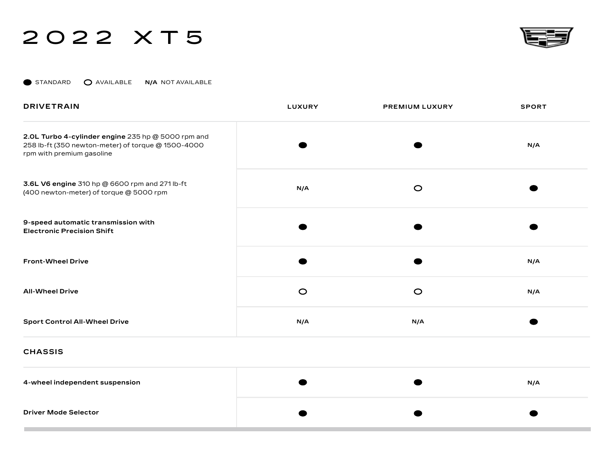STANDARD AVAILABLE **N/A** NOT AVAILABLE

| <b>DRIVETRAIN</b>                                                                                                                     | <b>LUXURY</b> | <b>PREMIUM LUXURY</b> | <b>SPORT</b> |
|---------------------------------------------------------------------------------------------------------------------------------------|---------------|-----------------------|--------------|
| 2.0L Turbo 4-cylinder engine 235 hp @ 5000 rpm and<br>258 lb-ft (350 newton-meter) of torque @ 1500-4000<br>rpm with premium gasoline |               |                       | N/A          |
| 3.6L V6 engine 310 hp @ 6600 rpm and 271 lb-ft<br>(400 newton-meter) of torque @ 5000 rpm                                             | N/A           | $\circ$               |              |
| 9-speed automatic transmission with<br><b>Electronic Precision Shift</b>                                                              |               |                       |              |
| <b>Front-Wheel Drive</b>                                                                                                              |               |                       | N/A          |
| <b>All-Wheel Drive</b>                                                                                                                | $\circ$       | $\circ$               | N/A          |
| <b>Sport Control All-Wheel Drive</b>                                                                                                  | N/A           | N/A                   |              |
|                                                                                                                                       |               |                       |              |

**CHASSIS**

| 4-wheel independent suspension |  | N/A |
|--------------------------------|--|-----|
| <b>Driver Mode Selector</b>    |  |     |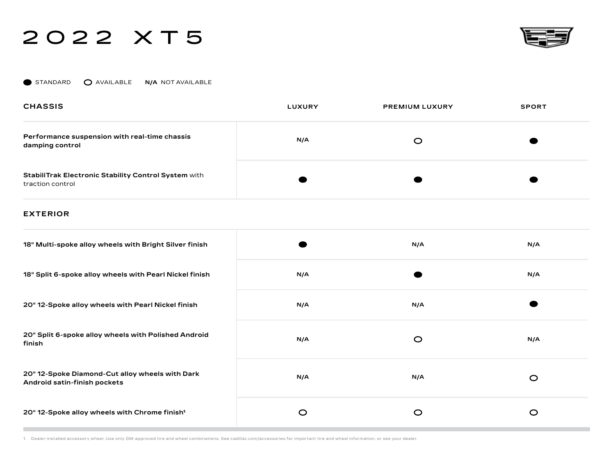

STANDARD **O** AVAILABLE **N/A** NOT AVAILABLE

| <b>CHASSIS</b>                                                                  | <b>LUXURY</b> | <b>PREMIUM LUXURY</b> | <b>SPORT</b> |
|---------------------------------------------------------------------------------|---------------|-----------------------|--------------|
| Performance suspension with real-time chassis<br>damping control                | N/A           | C                     |              |
| <b>StabiliTrak Electronic Stability Control System with</b><br>traction control |               |                       |              |

### **EXTERIOR**

| 18" Multi-spoke alloy wheels with Bright Silver finish                          |         | N/A     | N/A     |
|---------------------------------------------------------------------------------|---------|---------|---------|
| 18" Split 6-spoke alloy wheels with Pearl Nickel finish                         | N/A     |         | N/A     |
| 20" 12-Spoke alloy wheels with Pearl Nickel finish                              | N/A     | N/A     |         |
| 20" Split 6-spoke alloy wheels with Polished Android<br>finish                  | N/A     | $\circ$ | N/A     |
| 20" 12-Spoke Diamond-Cut alloy wheels with Dark<br>Android satin-finish pockets | N/A     | N/A     | $\circ$ |
| 20" 12-Spoke alloy wheels with Chrome finish <sup>1</sup>                       | $\circ$ | O       | $\circ$ |

1. Dealer-installed accessory wheel. Use only GM-approved tire and wheel combinations. See cadillac.com/accessories for important tire and wheel information, or see your dealer.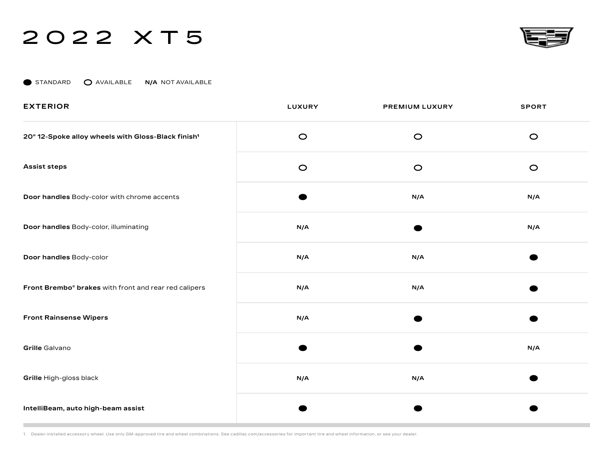

STANDARD **O** AVAILABLE N/A NOT AVAILABLE

| <b>EXTERIOR</b>                                                   | LUXURY  | PREMIUM LUXURY | <b>SPORT</b> |
|-------------------------------------------------------------------|---------|----------------|--------------|
| 20" 12-Spoke alloy wheels with Gloss-Black finish <sup>1</sup>    | $\circ$ | $\circ$        | $\circ$      |
| <b>Assist steps</b>                                               | $\circ$ | $\circ$        | $\circ$      |
| Door handles Body-color with chrome accents                       |         | N/A            | N/A          |
| Door handles Body-color, illuminating                             | N/A     |                | N/A          |
| Door handles Body-color                                           | N/A     | N/A            |              |
| Front Brembo <sup>®</sup> brakes with front and rear red calipers | N/A     | N/A            |              |
| <b>Front Rainsense Wipers</b>                                     | N/A     |                |              |
| Grille Galvano                                                    |         |                | N/A          |
| Grille High-gloss black                                           | N/A     | N/A            |              |
| IntelliBeam, auto high-beam assist                                |         |                |              |

1. Dealer-installed accessory wheel. Use only GM-approved tire and wheel combinations. See cadillac.com/accessories for important tire and wheel information, or see your dealer.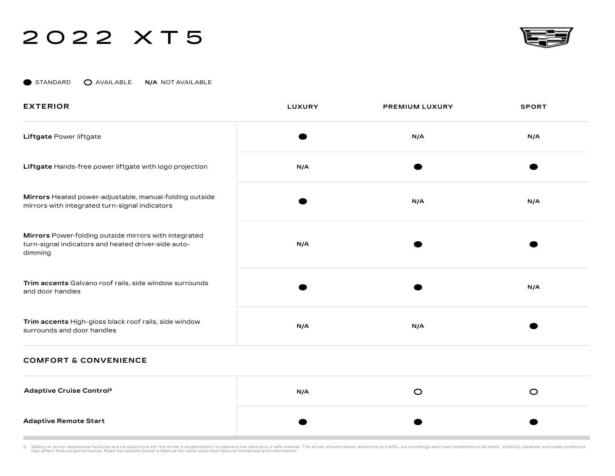

STANDARD **O** AVAILABLE **N/A** NOT AVAILABLE

| <b>EXTERIOR</b>                                                                                                         | <b>LUXURY</b> | PREMIUM LUXURY | <b>SPORT</b> |
|-------------------------------------------------------------------------------------------------------------------------|---------------|----------------|--------------|
| Liftgate Power liftgate                                                                                                 |               | N/A            | N/A          |
| Liftgate Hands-free power liftgate with logo projection                                                                 | N/A           |                |              |
| Mirrors Heated power-adjustable, manual-folding outside<br>mirrors with integrated turn-signal indicators               |               | N/A            | N/A          |
| Mirrors Power-folding outside mirrors with integrated<br>turn-signal indicators and heated driver-side auto-<br>dimming | N/A           |                |              |
| Trim accents Galvano roof rails, side window surrounds<br>and door handles                                              |               |                | N/A          |
| Trim accents High-gloss black roof rails, side window<br>surrounds and door handles                                     | N/A           | N/A            |              |

#### **COMFORT & CONVENIENCE**

| <b>Adaptive Cruise Control<sup>2</sup></b> | N/A | U |  |
|--------------------------------------------|-----|---|--|
| <b>Adaptive Remote Start</b>               |     |   |  |

2. Safety or driver-assistance features are no substitute for the driver's responsibility to operate the vehicle owner in parteman attentive manner. The driver should remain attentive to traffic, surroundings and road cond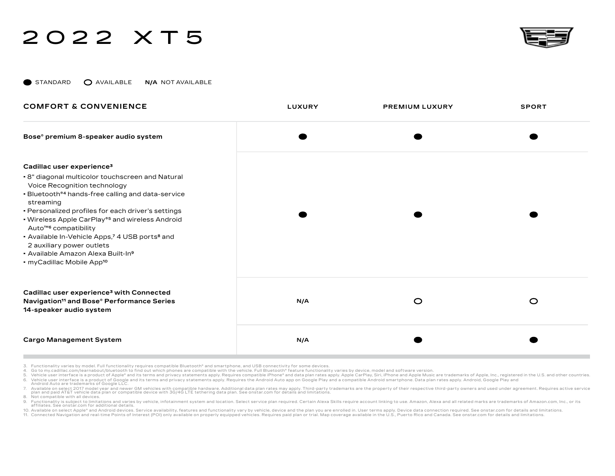

STANDARD AVAILABLE **N/A** NOT AVAILABLE

| <b>COMFORT &amp; CONVENIENCE</b>                                                                                                                                                                                                                                                                                                                                                                                                                                                                                                           | <b>LUXURY</b> | <b>PREMIUM LUXURY</b> | <b>SPORT</b> |
|--------------------------------------------------------------------------------------------------------------------------------------------------------------------------------------------------------------------------------------------------------------------------------------------------------------------------------------------------------------------------------------------------------------------------------------------------------------------------------------------------------------------------------------------|---------------|-----------------------|--------------|
| Bose® premium 8-speaker audio system                                                                                                                                                                                                                                                                                                                                                                                                                                                                                                       |               |                       |              |
| Cadillac user experience <sup>3</sup><br>• 8" diagonal multicolor touchscreen and Natural<br>Voice Recognition technology<br>• Bluetooth®4 hands-free calling and data-service<br>streaming<br>• Personalized profiles for each driver's settings<br>• Wireless Apple CarPlay® <sup>5</sup> and wireless Android<br>Auto <sup>™6</sup> compatibility<br>- Available In-Vehicle Apps,7 4 USB ports <sup>8</sup> and<br>2 auxiliary power outlets<br>• Available Amazon Alexa Built-In <sup>9</sup><br>• myCadillac Mobile App <sup>10</sup> |               |                       |              |
| Cadillac user experience <sup>3</sup> with Connected<br>Navigation <sup>11</sup> and Bose® Performance Series<br>14-speaker audio system                                                                                                                                                                                                                                                                                                                                                                                                   | N/A           | $\circ$               | $\circ$      |
| <b>Cargo Management System</b>                                                                                                                                                                                                                                                                                                                                                                                                                                                                                                             | N/A           |                       |              |

- 3. Functionality varies by model. Full functionality requires compatible Bluetooth® and smartphone, and USB connectivity for some devices.
- 4. Go to my.cadillac.com/learnabout/bluetooth to find out which phones are compatible with the vehicle. Full Bluetooth® feature functionality varies by device, model and software version.

5. Vehicle user interface is a product of Apple® and its terms and privacy statements apply. Requires compatible iPhone® and data plan rates apply. Apple CarPlay, Siri, iPhone and Apple Music are trademarks of Apple, Inc., 6. Vehicle user interface is a product of Google and its terms and privacy statements apply. Requires the Android Auto app on Google Play and a compatible Android smartphone. Data plan rates apply. Android, Google Play a

7. Available on select 2017 model year and newer GM vehicles with compatible hardware. Additional data plan rates may apply. Third-party trademarks are the property of their respective third-party owners and used under agr plan and paid AT&T vehicle data plan or compatible device with 3G/4G LTE tethering data plan. See onstar.com for details and limitations.

8. Not compatible with all devices.

9. Functionality is subject to limitations and varies by vehicle, infotainment system and location. Select service plan required. Certain Alexa Skills require account linking to use. Amazon, Alexa and all related marks are

10. Available on select Apple® and Android devices. Service availability, features and functionality vary by vehicle, device and the plan you are enrolled in. User terms apply. Device data connection required. See onstar.c

11. Connected Navigation and real-time Points of Interest (POI) only available on properly equipped vehicles. Requires paid plan or trial. Map coverage available in the U.S., Puerto Rico and Canada. See onstar com for deta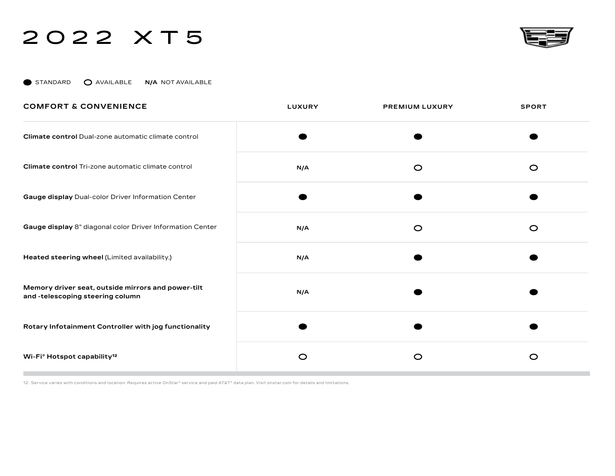

STANDARD **O** AVAILABLE N/A NOT AVAILABLE

| <b>COMFORT &amp; CONVENIENCE</b>                                                       | <b>LUXURY</b> | <b>PREMIUM LUXURY</b> | <b>SPORT</b> |
|----------------------------------------------------------------------------------------|---------------|-----------------------|--------------|
| Climate control Dual-zone automatic climate control                                    |               |                       |              |
| Climate control Tri-zone automatic climate control                                     | N/A           | $\circ$               | $\circ$      |
| Gauge display Dual-color Driver Information Center                                     |               |                       |              |
| Gauge display 8" diagonal color Driver Information Center                              | N/A           | $\circ$               | $\circ$      |
| Heated steering wheel (Limited availability.)                                          | N/A           |                       |              |
| Memory driver seat, outside mirrors and power-tilt<br>and -telescoping steering column | N/A           |                       |              |
| Rotary Infotainment Controller with jog functionality                                  |               |                       |              |
| Wi-Fi <sup>®</sup> Hotspot capability <sup>12</sup>                                    | $\circ$       | $\circ$               | $\circ$      |

12. Service varies with conditions and location. Requires active OnStar® service and paid AT&T® data plan. Visit onstar.com for details and limitations.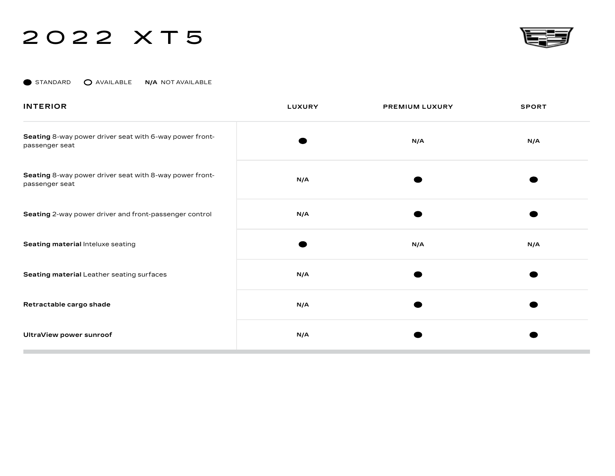

STANDARD **O** AVAILABLE **N/A** NOT AVAILABLE

| <b>INTERIOR</b>                                                           | <b>LUXURY</b> | <b>PREMIUM LUXURY</b> | <b>SPORT</b> |
|---------------------------------------------------------------------------|---------------|-----------------------|--------------|
| Seating 8-way power driver seat with 6-way power front-<br>passenger seat |               | N/A                   | N/A          |
| Seating 8-way power driver seat with 8-way power front-<br>passenger seat | N/A           |                       |              |
| Seating 2-way power driver and front-passenger control                    | N/A           |                       |              |
| Seating material Inteluxe seating                                         |               | N/A                   | N/A          |
| Seating material Leather seating surfaces                                 | N/A           |                       |              |
| Retractable cargo shade                                                   | N/A           |                       |              |
| UltraView power sunroof                                                   | N/A           |                       |              |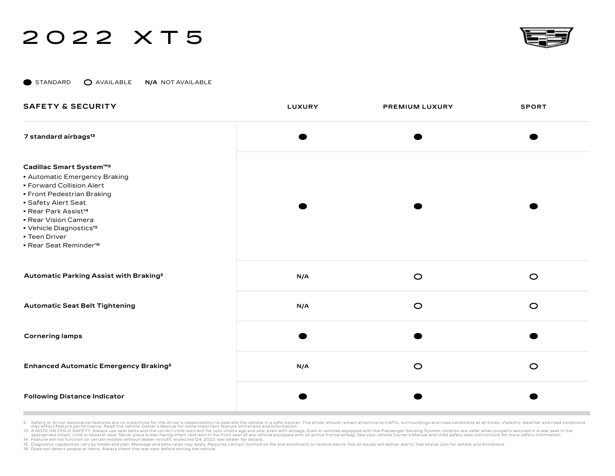

STANDARD **O** AVAILABLE **N/A** NOT AVAILABLE

| <b>SAFETY &amp; SECURITY</b>                                                                                                                                                                                                                                                                                       | <b>LUXURY</b> | PREMIUM LUXURY | <b>SPORT</b> |
|--------------------------------------------------------------------------------------------------------------------------------------------------------------------------------------------------------------------------------------------------------------------------------------------------------------------|---------------|----------------|--------------|
| 7 standard airbags <sup>13</sup>                                                                                                                                                                                                                                                                                   |               |                |              |
| Cadillac Smart System™2<br><b>- Automatic Emergency Braking</b><br>• Forward Collision Alert<br>• Front Pedestrian Braking<br>• Safety Alert Seat<br><b>Rear Park Assist<sup>14</sup></b><br>· Rear Vision Camera<br>• Vehicle Diagnostics <sup>15</sup><br><b>Teen Driver</b><br>Rear Seat Reminder <sup>16</sup> |               |                |              |
| Automatic Parking Assist with Braking <sup>2</sup>                                                                                                                                                                                                                                                                 | N/A           | $\circ$        | $\circ$      |
| <b>Automatic Seat Belt Tightening</b>                                                                                                                                                                                                                                                                              | N/A           | $\circ$        | $\circ$      |
| <b>Cornering lamps</b>                                                                                                                                                                                                                                                                                             |               |                |              |
| Enhanced Automatic Emergency Braking <sup>2</sup>                                                                                                                                                                                                                                                                  | N/A           | $\circ$        | $\circ$      |
| <b>Following Distance Indicator</b>                                                                                                                                                                                                                                                                                |               |                |              |

2. Safety or driver-assistance features are no substitute for the driver's responsibility to operate the vehicle owner in parteman attentive manner. The driver should remain attentive to traffic, surroundings and road cond

13. A NOTE ON CHILD SAFETY: Always use seat belts and the correct child restraint in the from child testraint or your child teaty age and size, even with airbags. Even in vehicles equipped with the Passenger Sensing System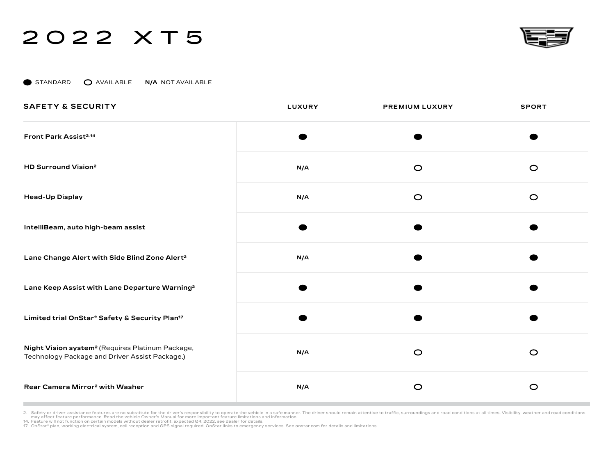

STANDARD **O** AVAILABLE **N/A** NOT AVAILABLE

| <b>SAFETY &amp; SECURITY</b>                                                                                   | LUXURY | PREMIUM LUXURY | <b>SPORT</b> |
|----------------------------------------------------------------------------------------------------------------|--------|----------------|--------------|
| Front Park Assist <sup>2,14</sup>                                                                              |        |                |              |
| HD Surround Vision <sup>2</sup>                                                                                | N/A    | $\circ$        | $\circ$      |
| <b>Head-Up Display</b>                                                                                         | N/A    | $\circ$        | $\circ$      |
| IntelliBeam, auto high-beam assist                                                                             |        |                |              |
| Lane Change Alert with Side Blind Zone Alert <sup>2</sup>                                                      | N/A    |                |              |
| Lane Keep Assist with Lane Departure Warning <sup>2</sup>                                                      |        |                |              |
| Limited trial OnStar® Safety & Security Plan <sup>17</sup>                                                     |        |                |              |
| Night Vision system <sup>2</sup> (Requires Platinum Package,<br>Technology Package and Driver Assist Package.) | N/A    | $\circ$        | $\circ$      |
| Rear Camera Mirror <sup>2</sup> with Washer                                                                    | N/A    | $\circ$        | $\circ$      |

2. Safety or driver-assistance features are no substitute for the driver's responsibility to operate the vehicle in a safe manner. The driver should remain attentive to traffic, surroundings and road conditions at all time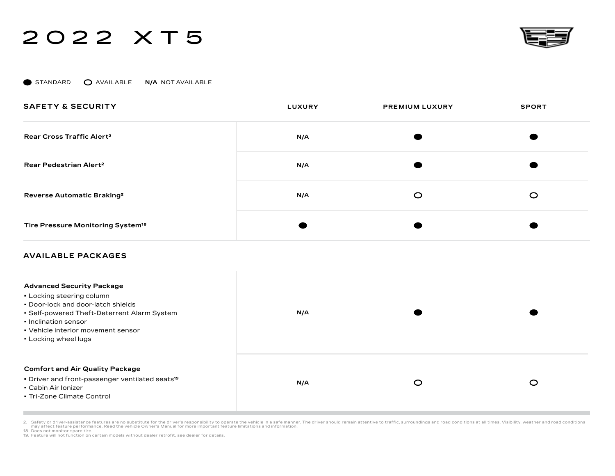

STANDARD **O** AVAILABLE **N/A** NOT AVAILABLE

| <b>SAFETY &amp; SECURITY</b>                  | <b>LUXURY</b> | <b>PREMIUM LUXURY</b> | <b>SPORT</b> |
|-----------------------------------------------|---------------|-----------------------|--------------|
| Rear Cross Traffic Alert <sup>2</sup>         | N/A           |                       |              |
| Rear Pedestrian Alert <sup>2</sup>            | N/A           |                       |              |
| Reverse Automatic Braking <sup>2</sup>        | N/A           | C                     | O            |
| Tire Pressure Monitoring System <sup>18</sup> |               |                       |              |

#### **AVAILABLE PACKAGES**

| <b>Advanced Security Package</b><br>• Locking steering column<br>• Door-lock and door-latch shields<br>• Self-powered Theft-Deterrent Alarm System<br>• Inclination sensor<br>• Vehicle interior movement sensor<br>• Locking wheel lugs | N/A |   |   |
|------------------------------------------------------------------------------------------------------------------------------------------------------------------------------------------------------------------------------------------|-----|---|---|
| <b>Comfort and Air Quality Package</b><br>• Driver and front-passenger ventilated seats <sup>19</sup><br>• Cabin Air Ionizer<br>• Tri-Zone Climate Control                                                                               | N/A | O | ⌒ |

2. Safety or driver-assistance features are no substitute for the driver's responsibility to operate the vehicle owner's manner for expect on the selft manner. The driver should remain attentive to traffic, surroundings an

18. Does not monitor spare tire.

19. Feature will not function on certain models without dealer retrofit, see dealer for details.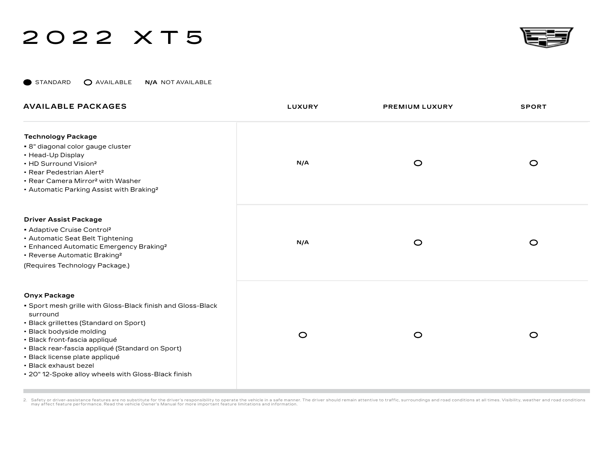

STANDARD **O** AVAILABLE **N/A** NOT AVAILABLE

| <b>AVAILABLE PACKAGES</b>                                                                                                                                                                                                                                                                                                                                                   | <b>LUXURY</b> | <b>PREMIUM LUXURY</b> | <b>SPORT</b> |
|-----------------------------------------------------------------------------------------------------------------------------------------------------------------------------------------------------------------------------------------------------------------------------------------------------------------------------------------------------------------------------|---------------|-----------------------|--------------|
| <b>Technology Package</b><br>• 8" diagonal color gauge cluster<br>• Head-Up Display<br>• HD Surround Vision <sup>2</sup><br>• Rear Pedestrian Alert <sup>2</sup><br>• Rear Camera Mirror <sup>2</sup> with Washer<br>• Automatic Parking Assist with Braking <sup>2</sup>                                                                                                   | N/A           | $\circ$               | $\circ$      |
| <b>Driver Assist Package</b><br>Adaptive Cruise Control <sup>2</sup><br>• Automatic Seat Belt Tightening<br>• Enhanced Automatic Emergency Braking <sup>2</sup><br>• Reverse Automatic Braking <sup>2</sup><br>(Requires Technology Package.)                                                                                                                               | N/A           | $\circ$               | $\circ$      |
| <b>Onyx Package</b><br>• Sport mesh grille with Gloss-Black finish and Gloss-Black<br>surround<br>• Black grillettes (Standard on Sport)<br>• Black bodyside molding<br>· Black front-fascia appliqué<br>· Black rear-fascia appliqué (Standard on Sport)<br>· Black license plate appliqué<br>• Black exhaust bezel<br>. 20" 12-Spoke alloy wheels with Gloss-Black finish | $\circ$       | $\circ$               | $\circ$      |

2. Safety or driver-assistance features are no substitute for the driver's responsibility to operate the vehicle owner in parteman attentive manner. The driver should remain attentive to traffic, surroundings and road cond